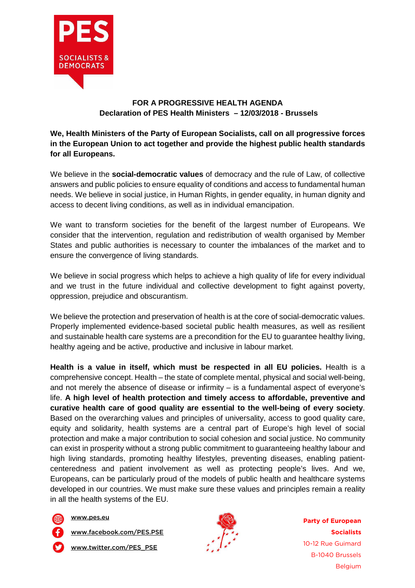

## **FOR A PROGRESSIVE HEALTH AGENDA Declaration of PES Health Ministers – 12/03/2018 - Brussels**

## **We, Health Ministers of the Party of European Socialists, call on all progressive forces in the European Union to act together and provide the highest public health standards for all Europeans.**

We believe in the **social-democratic values** of democracy and the rule of Law, of collective answers and public policies to ensure equality of conditions and access to fundamental human needs. We believe in social justice, in Human Rights, in gender equality, in human dignity and access to decent living conditions, as well as in individual emancipation.

We want to transform societies for the benefit of the largest number of Europeans. We consider that the intervention, regulation and redistribution of wealth organised by Member States and public authorities is necessary to counter the imbalances of the market and to ensure the convergence of living standards.

We believe in social progress which helps to achieve a high quality of life for every individual and we trust in the future individual and collective development to fight against poverty, oppression, prejudice and obscurantism.

We believe the protection and preservation of health is at the core of social-democratic values. Properly implemented evidence-based societal public health measures, as well as resilient and sustainable health care systems are a precondition for the EU to guarantee healthy living, healthy ageing and be active, productive and inclusive in labour market.

**Health is a value in itself, which must be respected in all EU policies.** Health is a comprehensive concept. Health – the state of complete mental, physical and social well-being, and not merely the absence of disease or infirmity – is a fundamental aspect of everyone's life. **A high level of health protection and timely access to affordable, preventive and curative health care of good quality are essential to the well-being of every society**. Based on the overarching values and principles of universality, access to good quality care, equity and solidarity, health systems are a central part of Europe's high level of social protection and make a major contribution to social cohesion and social justice. No community can exist in prosperity without a strong public commitment to guaranteeing healthy labour and high living standards, promoting healthy lifestyles, preventing diseases, enabling patientcenteredness and patient involvement as well as protecting people's lives. And we, Europeans, can be particularly proud of the models of public health and healthcare systems developed in our countries. We must make sure these values and principles remain a reality in all the health systems of the EU.

www.pes.eu

www.facebook.com/PES.PSE

www.twitter.com/PES\_PSE



**Party of European Socialists** 10-12 Rue Guimard B-1040 Brussels Belgium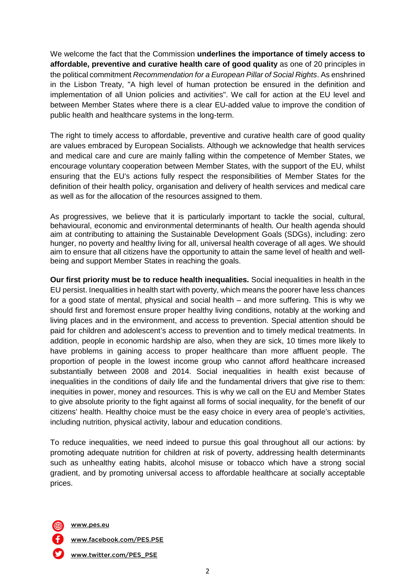We welcome the fact that the Commission **underlines the importance of timely access to affordable, preventive and curative health care of good quality** as one of 20 principles in the political commitment Recommendation for a European Pillar of Social Rights. As enshrined in the Lisbon Treaty, "A high level of human protection be ensured in the definition and implementation of all Union policies and activities". We call for action at the EU level and between Member States where there is a clear EU-added value to improve the condition of public health and healthcare systems in the long-term.

The right to timely access to affordable, preventive and curative health care of good quality are values embraced by European Socialists. Although we acknowledge that health services and medical care and cure are mainly falling within the competence of Member States, we encourage voluntary cooperation between Member States, with the support of the EU, whilst ensuring that the EU's actions fully respect the responsibilities of Member States for the definition of their health policy, organisation and delivery of health services and medical care as well as for the allocation of the resources assigned to them.

As progressives, we believe that it is particularly important to tackle the social, cultural, behavioural, economic and environmental determinants of health. Our health agenda should aim at contributing to attaining the Sustainable Development Goals (SDGs), including: zero hunger, no poverty and healthy living for all, universal health coverage of all ages. We should aim to ensure that all citizens have the opportunity to attain the same level of health and wellbeing and support Member States in reaching the goals.

**Our first priority must be to reduce health inequalities.** Social inequalities in health in the EU persist. Inequalities in health start with poverty, which means the poorer have less chances for a good state of mental, physical and social health – and more suffering. This is why we should first and foremost ensure proper healthy living conditions, notably at the working and living places and in the environment, and access to prevention. Special attention should be paid for children and adolescent's access to prevention and to timely medical treatments. In addition, people in economic hardship are also, when they are sick, 10 times more likely to have problems in gaining access to proper healthcare than more affluent people. The proportion of people in the lowest income group who cannot afford healthcare increased substantially between 2008 and 2014. Social inequalities in health exist because of inequalities in the conditions of daily life and the fundamental drivers that give rise to them: inequities in power, money and resources. This is why we call on the EU and Member States to give absolute priority to the fight against all forms of social inequality, for the benefit of our citizens' health. Healthy choice must be the easy choice in every area of people's activities, including nutrition, physical activity, labour and education conditions.

To reduce inequalities, we need indeed to pursue this goal throughout all our actions: by promoting adequate nutrition for children at risk of poverty, addressing health determinants such as unhealthy eating habits, alcohol misuse or tobacco which have a strong social gradient, and by promoting universal access to affordable healthcare at socially acceptable prices.

www.pes.eu

www.facebook.com/PES.PSE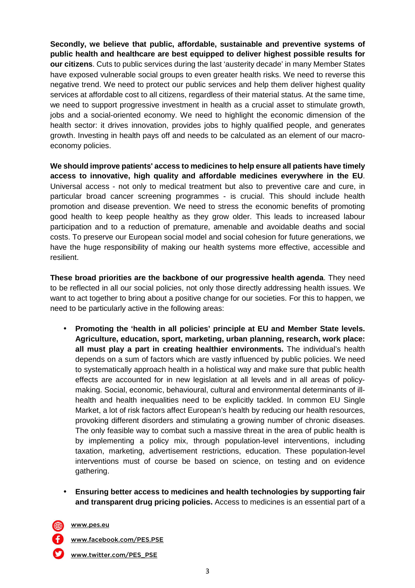**Secondly, we believe that public, affordable, sustainable and preventive systems of public health and healthcare are best equipped to deliver highest possible results for our citizens**. Cuts to public services during the last 'austerity decade' in many Member States have exposed vulnerable social groups to even greater health risks. We need to reverse this negative trend. We need to protect our public services and help them deliver highest quality services at affordable cost to all citizens, regardless of their material status. At the same time, we need to support progressive investment in health as a crucial asset to stimulate growth, jobs and a social-oriented economy. We need to highlight the economic dimension of the health sector: it drives innovation, provides jobs to highly qualified people, and generates growth. Investing in health pays off and needs to be calculated as an element of our macroeconomy policies.

**We should improve patients' access to medicines to help ensure all patients have timely access to innovative, high quality and affordable medicines everywhere in the EU**. Universal access - not only to medical treatment but also to preventive care and cure, in particular broad cancer screening programmes - is crucial. This should include health promotion and disease prevention. We need to stress the economic benefits of promoting good health to keep people healthy as they grow older. This leads to increased labour participation and to a reduction of premature, amenable and avoidable deaths and social costs. To preserve our European social model and social cohesion for future generations, we have the huge responsibility of making our health systems more effective, accessible and resilient.

**These broad priorities are the backbone of our progressive health agenda**. They need to be reflected in all our social policies, not only those directly addressing health issues. We want to act together to bring about a positive change for our societies. For this to happen, we need to be particularly active in the following areas:

- **Promoting the 'health in all policies' principle at EU and Member State levels. Agriculture, education, sport, marketing, urban planning, research, work place: all must play a part in creating healthier environments.** The individual's health depends on a sum of factors which are vastly influenced by public policies. We need to systematically approach health in a holistical way and make sure that public health effects are accounted for in new legislation at all levels and in all areas of policymaking. Social, economic, behavioural, cultural and environmental determinants of illhealth and health inequalities need to be explicitly tackled. In common EU Single Market, a lot of risk factors affect European's health by reducing our health resources, provoking different disorders and stimulating a growing number of chronic diseases. The only feasible way to combat such a massive threat in the area of public health is by implementing a policy mix, through population-level interventions, including taxation, marketing, advertisement restrictions, education. These population-level interventions must of course be based on science, on testing and on evidence gathering.
- **Ensuring better access to medicines and health technologies by supporting fair and transparent drug pricing policies.** Access to medicines is an essential part of a
- - www.pes.eu
	- www.facebook.com/PES.PSE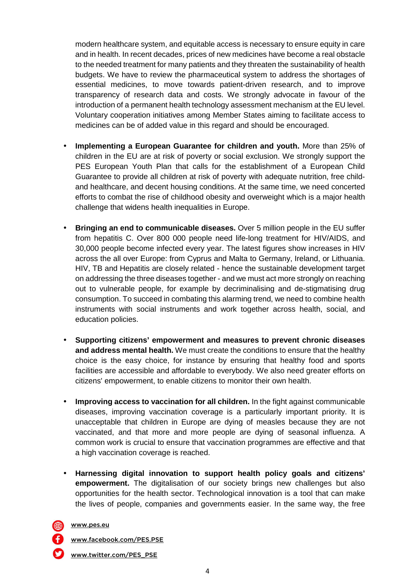modern healthcare system, and equitable access is necessary to ensure equity in care and in health. In recent decades, prices of new medicines have become a real obstacle to the needed treatment for many patients and they threaten the sustainability of health budgets. We have to review the pharmaceutical system to address the shortages of essential medicines, to move towards patient-driven research, and to improve transparency of research data and costs. We strongly advocate in favour of the introduction of a permanent health technology assessment mechanism at the EU level. Voluntary cooperation initiatives among Member States aiming to facilitate access to medicines can be of added value in this regard and should be encouraged.

- **Implementing a European Guarantee for children and youth.** More than 25% of children in the EU are at risk of poverty or social exclusion. We strongly support the PES European Youth Plan that calls for the establishment of a European Child Guarantee to provide all children at risk of poverty with adequate nutrition, free childand healthcare, and decent housing conditions. At the same time, we need concerted efforts to combat the rise of childhood obesity and overweight which is a major health challenge that widens health inequalities in Europe.
- **Bringing an end to communicable diseases.** Over 5 million people in the EU suffer from hepatitis C. Over 800 000 people need life-long treatment for HIV/AIDS, and 30,000 people become infected every year. The latest figures show increases in HIV across the all over Europe: from Cyprus and Malta to Germany, Ireland, or Lithuania. HIV, TB and Hepatitis are closely related - hence the sustainable development target on addressing the three diseases together - and we must act more strongly on reaching out to vulnerable people, for example by decriminalising and de-stigmatising drug consumption. To succeed in combating this alarming trend, we need to combine health instruments with social instruments and work together across health, social, and education policies.
- **Supporting citizens' empowerment and measures to prevent chronic diseases and address mental health.** We must create the conditions to ensure that the healthy choice is the easy choice, for instance by ensuring that healthy food and sports facilities are accessible and affordable to everybody. We also need greater efforts on citizens' empowerment, to enable citizens to monitor their own health.
- **Improving access to vaccination for all children.** In the fight against communicable diseases, improving vaccination coverage is a particularly important priority. It is unacceptable that children in Europe are dying of measles because they are not vaccinated, and that more and more people are dying of seasonal influenza. A common work is crucial to ensure that vaccination programmes are effective and that a high vaccination coverage is reached.
- **Harnessing digital innovation to support health policy goals and citizens' empowerment.** The digitalisation of our society brings new challenges but also opportunities for the health sector. Technological innovation is a tool that can make the lives of people, companies and governments easier. In the same way, the free
- www.pes.eu

www.facebook.com/PES.PSE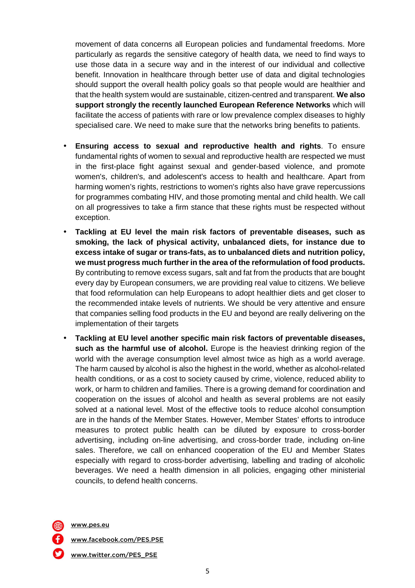movement of data concerns all European policies and fundamental freedoms. More particularly as regards the sensitive category of health data, we need to find ways to use those data in a secure way and in the interest of our individual and collective benefit. Innovation in healthcare through better use of data and digital technologies should support the overall health policy goals so that people would are healthier and that the health system would are sustainable, citizen-centred and transparent. **We also support strongly the recently launched European Reference Networks** which will facilitate the access of patients with rare or low prevalence complex diseases to highly specialised care. We need to make sure that the networks bring benefits to patients.

- **Ensuring access to sexual and reproductive health and rights**. To ensure fundamental rights of women to sexual and reproductive health are respected we must in the first-place fight against sexual and gender-based violence, and promote women's, children's, and adolescent's access to health and healthcare. Apart from harming women's rights, restrictions to women's rights also have grave repercussions for programmes combating HIV, and those promoting mental and child health. We call on all progressives to take a firm stance that these rights must be respected without exception.
- **Tackling at EU level the main risk factors of preventable diseases, such as smoking, the lack of physical activity, unbalanced diets, for instance due to excess intake of sugar or trans-fats, as to unbalanced diets and nutrition policy, we must progress much further in the area of the reformulation of food products.** By contributing to remove excess sugars, salt and fat from the products that are bought every day by European consumers, we are providing real value to citizens. We believe that food reformulation can help Europeans to adopt healthier diets and get closer to the recommended intake levels of nutrients. We should be very attentive and ensure that companies selling food products in the EU and beyond are really delivering on the implementation of their targets
- **Tackling at EU level another specific main risk factors of preventable diseases, such as the harmful use of alcohol.** Europe is the heaviest drinking region of the world with the average consumption level almost twice as high as a world average. The harm caused by alcohol is also the highest in the world, whether as alcohol-related health conditions, or as a cost to society caused by crime, violence, reduced ability to work, or harm to children and families. There is a growing demand for coordination and cooperation on the issues of alcohol and health as several problems are not easily solved at a national level. Most of the effective tools to reduce alcohol consumption are in the hands of the Member States. However, Member States' efforts to introduce measures to protect public health can be diluted by exposure to cross-border advertising, including on-line advertising, and cross-border trade, including on-line sales. Therefore, we call on enhanced cooperation of the EU and Member States especially with regard to cross-border advertising, labelling and trading of alcoholic beverages. We need a health dimension in all policies, engaging other ministerial councils, to defend health concerns.

www.pes.eu

www.facebook.com/PES.PSE